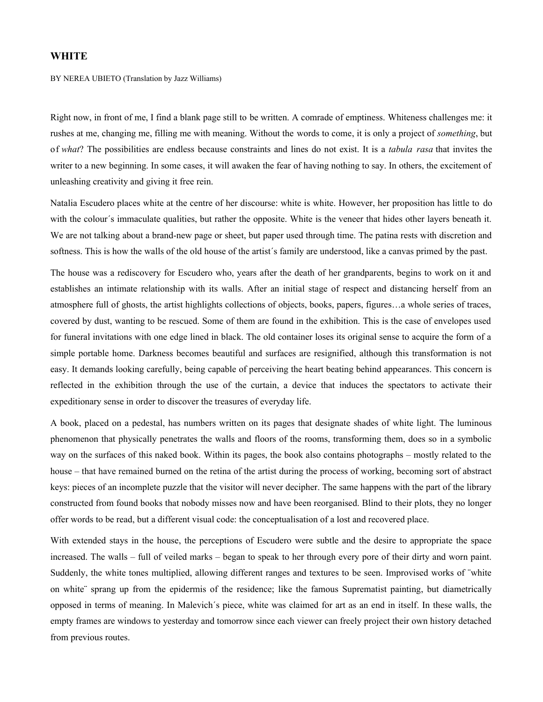## **WHITE**

BY NEREA UBIETO (Translation by Jazz Williams)

Right now, in front of me, I find a blank page still to be written. A comrade of emptiness. Whiteness challenges me: it rushes at me, changing me, filling me with meaning. Without the words to come, it is only a project of *something*, but of *what*? The possibilities are endless because constraints and lines do not exist. It is a *tabula rasa* that invites the writer to a new beginning. In some cases, it will awaken the fear of having nothing to say. In others, the excitement of unleashing creativity and giving it free rein.

Natalia Escudero places white at the centre of her discourse: white is white. However, her proposition has little to do with the colour's immaculate qualities, but rather the opposite. White is the veneer that hides other layers beneath it. We are not talking about a brand-new page or sheet, but paper used through time. The patina rests with discretion and softness. This is how the walls of the old house of the artist´s family are understood, like a canvas primed by the past.

The house was a rediscovery for Escudero who, years after the death of her grandparents, begins to work on it and establishes an intimate relationship with its walls. After an initial stage of respect and distancing herself from an atmosphere full of ghosts, the artist highlights collections of objects, books, papers, figures…a whole series of traces, covered by dust, wanting to be rescued. Some of them are found in the exhibition. This is the case of envelopes used for funeral invitations with one edge lined in black. The old container loses its original sense to acquire the form of a simple portable home. Darkness becomes beautiful and surfaces are resignified, although this transformation is not easy. It demands looking carefully, being capable of perceiving the heart beating behind appearances. This concern is reflected in the exhibition through the use of the curtain, a device that induces the spectators to activate their expeditionary sense in order to discover the treasures of everyday life.

A book, placed on a pedestal, has numbers written on its pages that designate shades of white light. The luminous phenomenon that physically penetrates the walls and floors of the rooms, transforming them, does so in a symbolic way on the surfaces of this naked book. Within its pages, the book also contains photographs – mostly related to the house – that have remained burned on the retina of the artist during the process of working, becoming sort of abstract keys: pieces of an incomplete puzzle that the visitor will never decipher. The same happens with the part of the library constructed from found books that nobody misses now and have been reorganised. Blind to their plots, they no longer offer words to be read, but a different visual code: the conceptualisation of a lost and recovered place.

With extended stays in the house, the perceptions of Escudero were subtle and the desire to appropriate the space increased. The walls – full of veiled marks – began to speak to her through every pore of their dirty and worn paint. Suddenly, the white tones multiplied, allowing different ranges and textures to be seen. Improvised works of ¨white on white¨ sprang up from the epidermis of the residence; like the famous Suprematist painting, but diametrically opposed in terms of meaning. In Malevich´s piece, white was claimed for art as an end in itself. In these walls, the empty frames are windows to yesterday and tomorrow since each viewer can freely project their own history detached from previous routes.